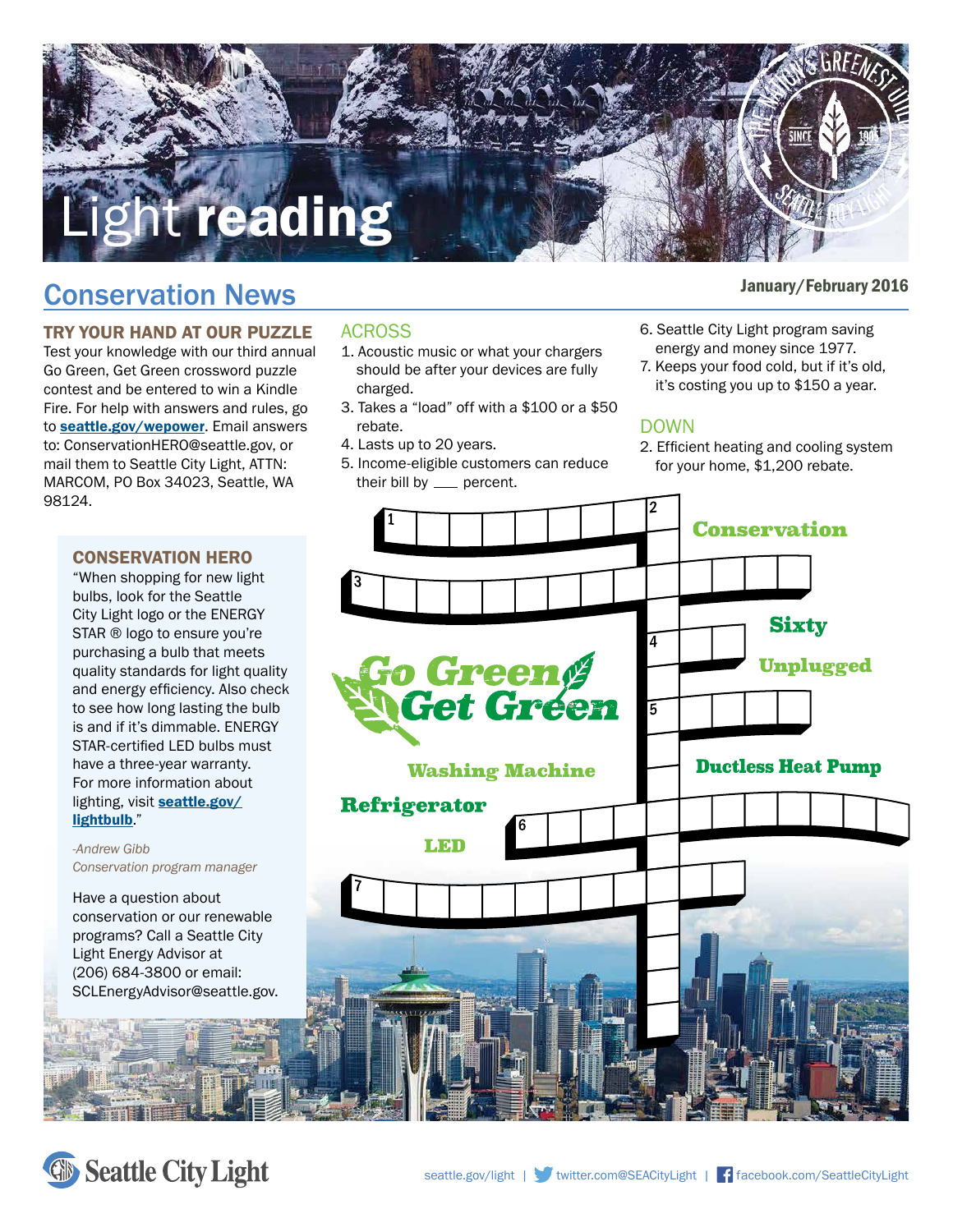

# January/February 2016 Conservation News

## TRY YOUR HAND AT OUR PUZZLE

Test your knowledge with our third annual Go Green, Get Green crossword puzzle contest and be entered to win a Kindle Fire. For help with answers and rules, go to **[seattle.gov/wepower](http://seattle.gov/wepower)**. Email answers to: ConservationHERO@seattle.gov, or mail them to Seattle City Light, ATTN: MARCOM, PO Box 34023, Seattle, WA 98124.

#### CONSERVATION HERO

"When shopping for new light bulbs, look for the Seattle City Light logo or the ENERGY STAR ® logo to ensure you're purchasing a bulb that meets quality standards for light quality and energy efficiency. Also check to see how long lasting the bulb is and if it's dimmable. ENERGY STAR-certified LED bulbs must have a three-year warranty. For more information about [lighting, visit](http://seattle.gov/lightbulb) seattle.gov/ lightbulb."

#### *-Andrew Gibb Conservation program manager*

Have a question about conservation or our renewable programs? Call a Seattle City Light Energy Advisor at (206) 684-3800 or email: SCLEnergyAdvisor@seattle.gov.

#### ACROSS

- 1. Acoustic music or what your chargers should be after your devices are fully charged.
- 3. Takes a "load" off with a \$100 or a \$50 rebate.
- 4. Lasts up to 20 years.
- 5. Income-eligible customers can reduce their bill by  $\rule{1em}{0.15mm}$  percent.
- 
- 6. Seattle City Light program saving energy and money since 1977.
- 7. Keeps your food cold, but if it's old, it's costing you up to \$150 a year.

#### DOWN

2. Efficient heating and cooling system for your home, \$1,200 rebate.